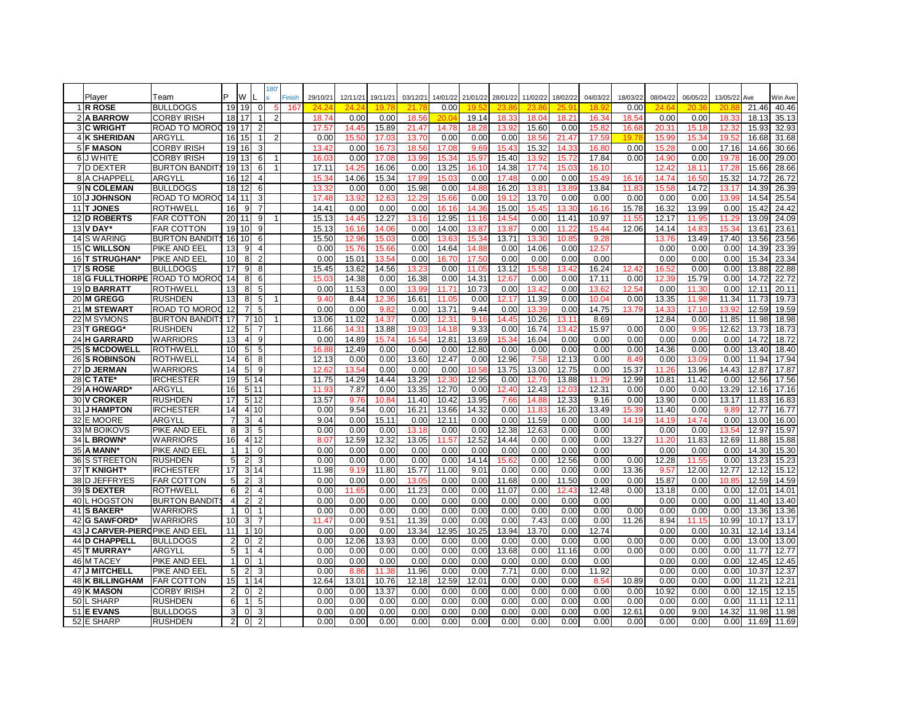|    |                               |                               |                 |                |                         | 180            |        |              |                  |              |              |                   |                   |              |              |                   |              |          |              |                   |                   |       |         |
|----|-------------------------------|-------------------------------|-----------------|----------------|-------------------------|----------------|--------|--------------|------------------|--------------|--------------|-------------------|-------------------|--------------|--------------|-------------------|--------------|----------|--------------|-------------------|-------------------|-------|---------|
|    | Player                        | Team                          | P               | W              |                         |                | Finish | 29/10/21     | 12/11/21         | 19/11/21     | 03/12/21     | 14/01/22          | 21/01/22          | 28/01/22     | 11/02/22     | 18/02/22          | 04/03/22     | 18/03/22 | 08/04/22     | 06/05/22          | 13/05/22          | Ave   | Win Ave |
|    | 1 R ROSE                      | <b>BULLDOGS</b>               | 19              | 19             | $\mathbf 0$             |                | 167    | 24.2         |                  | 1Q 7         | 21.7         | 0.00              |                   |              | 23.8         | 25.9              | 18.9         | 0.00     |              |                   | 20.8              | 21.46 | 40.46   |
|    | 2 A BARROW                    | <b>CORBY IRISH</b>            | 18              | 17             |                         | $\overline{2}$ |        | 18.74        | 0.00             | 0.00         | 18.56        | 20.0 <sub>1</sub> | 19.14             | 18.33        | 18.04        | 18.21             | 16.34        | 18.54    | 0.00         | 0.00              | 18.33             | 18.13 | 35.13   |
|    | 3 C WRIGHT                    | <b>ROAD TO MOROD</b>          | 19 <sup>l</sup> | 17             | 2                       |                |        | 17.57        | 14.45            | 15.89        | 21.47        | 14.78             | 18.28             | 13.92        | 15.60        | 0.00              | 15.82        | 16.68    | 20.31        | 15.18             | 12.3              | 15.93 | 32.93   |
|    | <b>4 K SHERIDAN</b>           | ARGYLL                        | 16              | 15             |                         |                |        | 0.00         | 15.5             | 17.03        | 13.70        | 0.00              | 0.00              | 0.00         | 18.56        | 21.47             | 17.5         | 19 T     | 15.9         | 15.3 <sup>2</sup> | 19.5              | 16.68 | 31.68   |
|    | 5 F MASON                     | <b>CORBY IRISH</b>            | 19              | 16             | 3                       |                |        | 13.42        | 0.00             | 16.73        | 18.56        | 17.08             | 9.69              | 15.4         | 15.32        | 14.3              | 16.80        | 0.00     | 15.28        | 0.00              | 17.16             | 14.66 | 30.66   |
|    | 6 J WHITE                     | <b>CORBY IRISH</b>            | 19              | 13             | 6                       |                |        | 16.0         | 0.00             | 17.08        | 13.99        | 15.34             | 15.97             | 15.40        | 13.92        | 15.72             | 17.84        | 0.00     | 14.90        | 0.00              | 19.7              | 16.00 | 29.00   |
|    | 7D DEXTER                     | <b>BURTON BANDITS</b>         | 19              | 13             | 6                       |                |        | 17.11        | 14.25            | 16.06        | 0.00         | 13.25             | 16.10             | 14.38        | 17.74        | 15.03             | 16.10        |          | 12.42        | $18.1^{\circ}$    | 17.2              | 15.66 | 28.66   |
|    | <b>8 A CHAPPELL</b>           | ARGYLL                        | 16              | 12             | 4                       |                |        | 15.3         | 14.06            | 15.34        | 17.89        | 15.03             | 0.00              | 17.48        | 0.00         | 0.00              | 15.49        | 16.16    | 14.74        | 16.50             | 15.32             | 14.72 | 26.72   |
|    | 9 N COLEMAN                   | <b>BULLDOGS</b>               | 18              | 12             | 6                       |                |        | 13.3         | 0.00             | 0.00         | 15.98        | 0.00              | 14.88             | 16.20        | 13.8'        | 13.89             | 13.84        | 11.83    | 15.5         | 14.72             | 13.17             | 14.39 | 26.39   |
|    | <b>10JJ JOHNSON</b>           | IROAD TO MOROC                | 14              | 11             | 3                       |                |        | 17.4         | 13.9             | 12.63        | 12.29        | 15.66             | 0.00              | 19.1         | 13.70        | 0.00              | 0.00         | 0.00     | 0.00         | 0.00              | 13.9              | 14.54 | 25.54   |
|    | 11 T JONES                    | <b>ROTHWELL</b>               | 16              | 9              | 7                       |                |        | 14.41        | 0.00             | 0.00         | 0.00         | 16.16             | 14.3 <sub>0</sub> | 15.00        | 15.4         | 13.3 <sub>0</sub> | 16.16        | 15.78    | 16.32        | 13.99             | 0.00              | 15.42 | 24.42   |
|    | 12 D ROBERTS                  | <b>FAR COTTON</b>             | 20              | 11             | 9                       |                |        | 15.13        | 14.45            | 12.27        | 13.16        | 12.95             | 11.16             | 14.54        | 0.00         | 11.41             | 10.97        | 11.55    | 12.17        | 11.9              | 11.2              | 13.09 | 24.09   |
|    | <b>13 V DAY</b>               | <b>IFAR COTTON</b>            | 19              | 10             | 9                       |                |        | 15.13        | 16.1             | 14.06        | 0.00         | 14.00             | 13.87             | 13.87        | 0.00         | 11.22             | 15.44        | 12.06    | 14.14        | 14.8              | 15.3              | 13.61 | 23.61   |
|    | 14 S WARING                   | <b>BURTON BANDIT</b>          | 16              | 10             | 6                       |                |        | 15.50        | 12.9             | 15.03        | 0.00         | 13.63             | 15.34             | 13.71        | 13.3         | 10.85             | 9.28         |          | 13.76        | 13.49             | 17.40             | 13.56 | 23.56   |
|    | <b>15 C WILLSON</b>           | <b>PIKE AND EEL</b>           | 13              | 9              | $\overline{\mathbf{4}}$ |                |        | 0.00         | 15.7             | 15.66        | 0.00         | 14.64             | 14.8              | 0.00         | 14.06        | 0.00              | 12.57        |          | 0.00         | 0.00              | 0.00              | 14.39 | 23.39   |
|    | 16 T STRUGHAN*                | <b>PIKE AND EEL</b>           | 10              | 8              | $\overline{2}$          |                |        | 0.00         | 15.01            | 13.54        | 0.00         | 16.70             | 17.50             | 0.00         | 0.00         | 0.00              | 0.00         |          | 0.00         | 0.00              | 0.00              | 15.34 | 23.34   |
|    | 17 S ROSE                     | <b>BULLDOGS</b>               | 17              | 9              | 8                       |                |        | 15.45        | 13.62            | 14.56        | 13.23        | 0.00              | 11.05             | 13.12        | 15.58        | 13.42             | 16.24        | 12.42    | 16.52        | 0.00              | 0.00              | 13.88 | 22.88   |
|    |                               | 18 G FULLTHORPE ROAD TO MOROC | 14              | 8              | 6                       |                |        | 15.03        | 14.38            | 0.00         | 16.38        | 0.00              | 14.31             | 12.67        | 0.00         | 0.00              | 17.11        | 0.00     | 12.39        | 15.79             | 0.00              | 14.72 | 22.72   |
|    | 19 D BARRATT                  | <b>ROTHWELL</b>               | 13              | 8              | 5                       |                |        | 0.00         | 11.53            | 0.00         | 13.99        | 11.71             | 10.73             | 0.00         | 13.42        | 0.00              | 13.62        | 12.54    | 0.00         | 11.30             | 0.00              | 12.11 | 20.11   |
|    | 20 M GREGG                    | <b>RUSHDEN</b>                | 13              | 8              | 5                       |                |        | 9.40         | 8.44             | 12.36        | 16.6'        | 11.05             | 0.00              | 12.17        | 11.39        | 0.00              | 10.04        | 0.00     | 13.35        | 11.98             | 11.34             | 11.73 | 19.73   |
|    | 21 M STEWART                  | <b>ROAD TO MOROD</b>          | 12              |                | 5                       |                |        | 0.00         | 0.00             | 9.82         | 0.00         | 13.71             | 9.44              | 0.00         | 13.39        | 0.00              | 14.75        | 13.79    | 14.33        | 17.10             | 13.9              | 12.59 | 19.59   |
|    | 22 M SYMONS                   | <b>BURTON BANDITS</b>         | 17              |                | 10                      |                |        | 13.06        | 11.02            | 14.37        | 0.00         | 12.31             | 9.16              | 14.45        | 10.26        | $13.1^{\circ}$    | 8.69         |          | 12.84        | 0.00              | 11.85             | 11.98 | 18.98   |
|    | 23 T GREGG*                   | <b>RUSHDEN</b>                | 12              | 5              |                         |                |        | 11.66        | 14.3             | 13.88        | 19.03        | 14.18             | 9.33              | 0.00         | 16.74        | 13.42             | 15.97        | 0.00     | 0.00         | 9.95              | 12.62             | 13.73 | 18.73   |
|    | 24 H GARRARD                  | <b>WARRIORS</b>               | 13              | $\overline{4}$ | 9                       |                |        | 0.00         | 14.89            | 15.74        | 16.54        | 12.81             | 13.69             | 15.34        | 16.04        | 0.00              | 0.00         | 0.00     | 0.00         | 0.00              | 0.00              | 14.72 | 18.72   |
|    | <b>25 S MCDOWELL</b>          | <b>ROTHWELL</b>               | 10              | 5              | 5                       |                |        | 16.8         | 12.49            | 0.00         | 0.00         | 0.00              | 12.80             | 0.00         | 0.00         | 0.00              | 0.00         | 0.00     | 14.36        | 0.00              | 0.00              | 13.40 | 18.40   |
|    | <b>26 S ROBINSON</b>          | <b>ROTHWELL</b>               | 14              | 6              | 8                       |                |        | 12.13        | 0.00             | 0.00         | 13.60        | 12.47             | 0.00              | 12.96        | 7.58         | 12.13             | 0.00         | 8.49     | 0.00         | 13.09             | 0.00              | 11.94 | 17.94   |
|    | 27 D JERMAN                   | <b>WARRIORS</b>               | 14              | 5              | 9                       |                |        | 12.6         | 13.54            | 0.00         | 0.00         | 0.00              | 10.58             | 13.75        | 13.00        | 12.75             | 0.00         | 15.37    | 11.20        | 13.96             | 14.43             | 12.87 | 17.87   |
|    | 28 C TATE                     | <b>IRCHESTER</b>              | 19              | 5              | 14                      |                |        | 11.75        | 14.29            | 14.44        | 13.29        | 12.30             | 12.95             | 0.00         | 12.70        | 13.88             | 11.29        | 12.99    | 10.81        | 11.42             | 0.00              | 12.56 | 17.56   |
|    | 29 A HOWARD                   | ARGYLI                        | 16              |                | 511                     |                |        | 11.9         | 7.87             | 0.00         | 13.35        | 12.70             | 0.00              | 12.40        | 12.43        | 12.0              | 12.31        | 0.00     | 0.00         | 0.00              | 13.29             | 12.16 | 17.16   |
|    | 30 V CROKER                   | <b>RUSHDEN</b>                | 17              | 5              | l 12                    |                |        | 13.57        | 9.76             | 10.84        | 11.40        | 10.42             | 13.95             | 7.6          | 14.8         | 12.33             | 9.16         | 0.00     | 13.90        | 0.00              | 13.17             | 11.83 | 16.83   |
|    | 31 J HAMPTON                  | <b>IRCHESTER</b>              | 14              |                | 4 10                    |                |        | 0.00         | 9.54             | 0.00         | 16.21        | 13.66             | 14.32             | 0.00         | 11.83        | 16.20             | 13.49        | 15.39    | 11.40        | 0.00              | 9.8               | 12.77 | 16.77   |
|    | 32 E MOORE                    | <b>ARGYLL</b>                 | 7               | 3              | $\overline{4}$          |                |        | 9.04         | 0.00             | 15.11        | 0.00         | 12.11             | 0.00              | 0.00         | 11.59        | 0.00              | 0.00         | 14.19    | 14.19        | 14.74             | 0.00              | 13.00 | 16.00   |
|    | 33 M BOIKOVS                  | <b>PIKE AND EEL</b>           | 8               | 3              | 5                       |                |        | 0.00         | 0.00             | 0.00         | 13.18        | 0.00              | 0.00              | 12.38        | 12.63        | 0.00              | 0.00         |          | 0.00         | 0.00              | 13.5 <sub>2</sub> | 12.97 | 15.97   |
|    | 34 L BROWN*                   | <b>WARRIORS</b>               | 16              | 4              | 12                      |                |        | 8.07         | 12.59            | 12.32        | 13.05        | 11.57             | 12.52             | 14.44        | 0.00         | 0.00              | 0.00         | 13.27    | 11.20        | 11.83             | 12.69             | 11.88 | 15.88   |
|    | 35 A MANN <sup>*</sup>        | <b>PIKE AND EEL</b>           | $\mathbf{1}$    | 1              | $\Omega$                |                |        | 0.00         | 0.00             | 0.00         | 0.00         | 0.00              | 0.00              | 0.00         | 0.00         | 0.00              | 0.00         |          | 0.00         | 0.00              | 0.00              | 14.30 | 15.30   |
|    | 36 STREETON                   | <b>RUSHDEN</b>                | 5               | $\overline{2}$ | 3                       |                |        | 0.00         | 0.00             | 0.00         | 0.00         | 0.00              | 14.14             | 15.6         | 0.00         | 12.56             | 0.00         | 0.00     | 12.28        | 11.55             | 0.00              | 13.23 | 15.23   |
|    | 37 T KNIGHT                   | <b>IRCHESTER</b>              | 17              | 3              | 14                      |                |        | 11.98        | 9.19             | 11.80        | 15.77        | 11.00             | 9.01              | 0.00         | 0.00         | 0.00              | 0.00         | 13.36    | 9.57         | 12.00             | 12.77             | 12.12 | 15.12   |
|    | 38 D JEFFRYES                 | <b>FAR COTTON</b>             | 5               | $\overline{2}$ | 3                       |                |        | 0.00         | 0.00             | 0.00         | 13.05        | 0.00              | 0.00              | 11.68        | 0.00         | 11.50             | 0.00         | 0.00     | 15.87        | 0.00              | 10.8              | 12.59 | 14.59   |
|    | 39 S DEXTER                   | <b>ROTHWELL</b>               | 6               | 2              | $\overline{4}$          |                |        | 0.00         | 11.65            | 0.00         | 11.23        | 0.00              | 0.00              | 11.07        | 0.00         | 12.43             | 12.48        | 0.00     | 13.18        | 0.00              | 0.00              | 12.01 | 14.01   |
| 40 | <b>HOGSTON</b>                | <b>BURTON BANDIT</b>          | $\overline{4}$  | $\mathfrak{p}$ | 2                       |                |        | 0.00         | 0.00             | 0.00         | 0.00         | 0.00              | 0.00              | 0.00         | 0.00         | 0.00              | 0.00         |          | 0.00         | 0.00              | 0.00              | 11.40 | 13.40   |
|    | 41 S BAKER*                   | <b>WARRIORS</b>               |                 | $\Omega$       |                         |                |        | 0.00         | 0.00             | 0.00         | 0.00         | 0.00              | 0.00              | 0.00         | 0.00         | 0.00              | 0.00         | 0.00     | 0.00         | 0.00              | 0.00              | 13.36 | 13.36   |
|    | 42 G SAWFORD*                 | <b>WARRIORS</b>               | 10<br>11        | 3              | $\overline{7}$          |                |        | 11.47        | 0.00             | 9.51         | 11.39        | 0.00              | 0.00              | 0.00         | 7.43         | 0.00              | 0.00         | 11.26    | 8.94<br>0.00 | 11.15             | 10.99             | 10.17 | 13.17   |
|    | 43 J CARVER-PIEROPIKE AND EEL |                               |                 | 1              | 10                      |                |        | 0.00         | 0.00             | 0.00         | 13.34        | 12.95             | 10.25             | 13.94        | 13.70        | 0.00              | 12.74        |          |              | 0.00              | 10.31             | 12.14 | 13.14   |
|    | 44 D CHAPPELL                 | <b>BULLDOGS</b>               | $\overline{2}$  | $\mathbf 0$    | $\overline{2}$          |                |        | 0.00         | 12.06            | 13.93        | 0.00         | 0.00              | 0.00              | 0.00         | 0.00         | 0.00              | 0.00         | 0.00     | 0.00         | 0.00              | 0.00              | 13.00 | 13.00   |
|    | 45 T MURRAY*                  | <b>ARGYLL</b>                 | 5<br>1          |                | $\overline{4}$          |                |        | 0.00         | 0.00             | 0.00         | 0.00         | 0.00              | 0.00              | 13.68        | 0.00         | 11.16             | 0.00         | 0.00     | 0.00         | 0.00              | 0.00              | 11.77 | 12.77   |
|    | <b>46 M TACEY</b>             | PIKE AND EEL                  |                 | $\Omega$       |                         |                |        | 0.00         | 0.00             | 0.00         | 0.00         | 0.00              | 0.00              | 0.00         | 0.00         | 0.00              | 0.00         |          | 0.00         | 0.00              | 0.00              | 12.45 | 12.45   |
|    | <b>47 J MITCHELL</b>          | <b>PIKE AND EEL</b>           | 5               | 2              | 3                       |                |        | 0.00         | 8.8 <sub>0</sub> | 11.38        | 11.96        | 0.00              | 0.00              | 7.71         | 0.00         | 0.00              | 11.92        |          | 0.00         | 0.00              | 0.00              | 10.37 | 12.37   |
|    | <b>48 K BILLINGHAM</b>        | <b>FAR COTTON</b>             | 15              | 1              | 14                      |                |        | 12.64        | 13.01            | 10.76        | 12.18        | 12.59             | 12.01             | 0.00         | 0.00         | 0.00              | 8.54         | 10.89    | 0.00         | 0.00              | 0.00              | 11.21 | 12.21   |
|    | 49 K MASON                    | <b>CORBY IRISH</b>            | $\overline{2}$  | 0              | $\overline{2}$          |                |        | 0.00         | 0.00             | 13.37        | 0.00         | 0.00              | 0.00              | 0.00         | 0.00         | 0.00              | 0.00         | 0.00     | 10.92        | 0.00              | 0.00              | 12.15 | 12.15   |
|    | 50 L SHARP                    | <b>RUSHDEN</b>                | 6               |                | 5                       |                |        | 0.00         | 0.00             | 0.00         | 0.00         | 0.00              | 0.00              | 0.00         | 0.00         | 0.00              | 0.00         | 0.00     | 0.00         | 0.00              | 0.00              | 11.1  | 12.11   |
|    | 51 E EVANS<br>52 E SHARP      | <b>BULLDOGS</b>               | 3               | $\Omega$       | 3                       |                |        | 0.00<br>0.00 | 0.00<br>0.00     | 0.00<br>0.00 | 0.00<br>0.00 | 0.00<br>0.00      | 0.00              | 0.00<br>0.00 | 0.00<br>0.00 | 0.00<br>0.00      | 0.00<br>0.00 | 12.61    | 0.00<br>0.00 | 9.00<br>0.00      | 14.32<br>0.00     | 11.98 | 11.98   |
|    |                               | <b>RUSHDEN</b>                | $\overline{2}$  | $\Omega$       | $\overline{2}$          |                |        |              |                  |              |              |                   | 0.00              |              |              |                   |              | 0.00     |              |                   |                   | 11.69 | 11.69   |